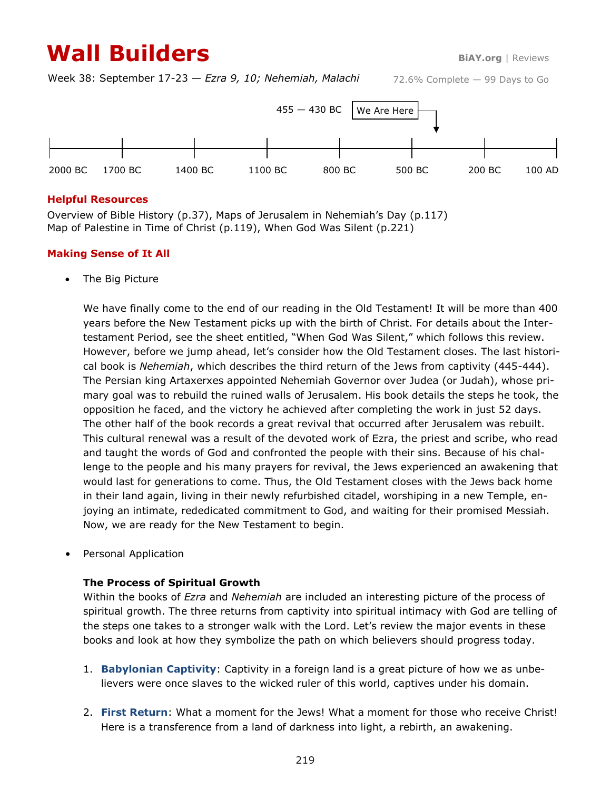# **Wall Builders Builders BiAY.org** | Reviews

Week 38: September 17-23 — *Ezra 9, 10; Nehemiah, Malachi*



## **Helpful Resources**

Overview of Bible History (p.37), Maps of Jerusalem in Nehemiah's Day (p.117) Map of Palestine in Time of Christ (p.119), When God Was Silent (p.221)

## **Making Sense of It All**

The Big Picture

We have finally come to the end of our reading in the Old Testament! It will be more than 400 years before the New Testament picks up with the birth of Christ. For details about the Intertestament Period, see the sheet entitled, "When God Was Silent," which follows this review. However, before we jump ahead, let's consider how the Old Testament closes. The last historical book is *Nehemiah*, which describes the third return of the Jews from captivity (445-444). The Persian king Artaxerxes appointed Nehemiah Governor over Judea (or Judah), whose primary goal was to rebuild the ruined walls of Jerusalem. His book details the steps he took, the opposition he faced, and the victory he achieved after completing the work in just 52 days. The other half of the book records a great revival that occurred after Jerusalem was rebuilt. This cultural renewal was a result of the devoted work of Ezra, the priest and scribe, who read and taught the words of God and confronted the people with their sins. Because of his challenge to the people and his many prayers for revival, the Jews experienced an awakening that would last for generations to come. Thus, the Old Testament closes with the Jews back home in their land again, living in their newly refurbished citadel, worshiping in a new Temple, enjoying an intimate, rededicated commitment to God, and waiting for their promised Messiah. Now, we are ready for the New Testament to begin.

• Personal Application

#### **The Process of Spiritual Growth**

Within the books of *Ezra* and *Nehemiah* are included an interesting picture of the process of spiritual growth. The three returns from captivity into spiritual intimacy with God are telling of the steps one takes to a stronger walk with the Lord. Let's review the major events in these books and look at how they symbolize the path on which believers should progress today.

- 1. **Babylonian Captivity**: Captivity in a foreign land is a great picture of how we as unbelievers were once slaves to the wicked ruler of this world, captives under his domain.
- 2. **First Return**: What a moment for the Jews! What a moment for those who receive Christ! Here is a transference from a land of darkness into light, a rebirth, an awakening.